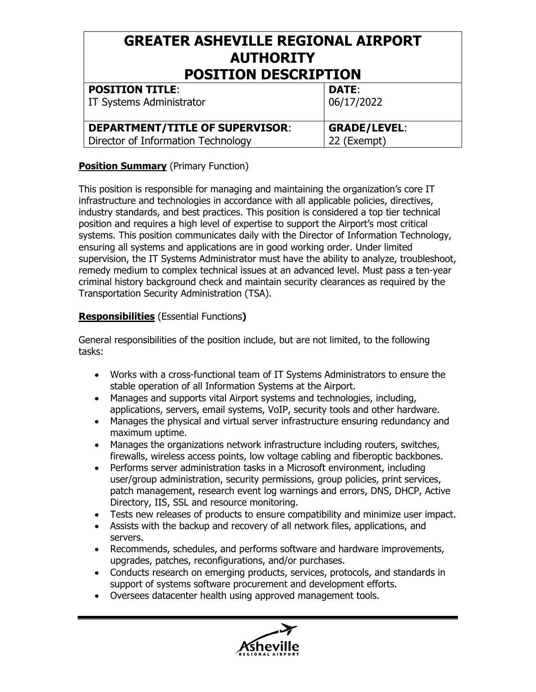## **GREATER ASHEVILLE REGIONAL AIRPORT AUTHORITY POSITION DESCRIPTION**

| <b>POSITION TITLE:</b><br><b>IT Systems Administrator</b> | <b>DATE:</b><br>06/17/2022 |
|-----------------------------------------------------------|----------------------------|
| <b>DEPARTMENT/TITLE OF SUPERVISOR:</b>                    | <b>GRADE/LEVEL:</b>        |
| Director of Information Technology                        | 22 (Exempt)                |

#### **Position Summary** (Primary Function)

This position is responsible for managing and maintaining the organization's core IT infrastructure and technologies in accordance with all applicable policies, directives, industry standards, and best practices. This position is considered a top tier technical position and requires a high level of expertise to support the Airport's most critical systems. This position communicates daily with the Director of Information Technology, ensuring all systems and applications are in good working order. Under limited supervision, the IT Systems Administrator must have the ability to analyze, troubleshoot, remedy medium to complex technical issues at an advanced level. Must pass a ten-year criminal history background check and maintain security clearances as required by the Transportation Security Administration (TSA).

#### **Responsibilities** (Essential Functions**)**

General responsibilities of the position include, but are not limited, to the following tasks:

- Works with a cross-functional team of IT Systems Administrators to ensure the stable operation of all Information Systems at the Airport.
- Manages and supports vital Airport systems and technologies, including, applications, servers, email systems, VoIP, security tools and other hardware.
- Manages the physical and virtual server infrastructure ensuring redundancy and maximum uptime.
- Manages the organizations network infrastructure including routers, switches, firewalls, wireless access points, low voltage cabling and fiberoptic backbones.
- Performs server administration tasks in a Microsoft environment, including user/group administration, security permissions, group policies, print services, patch management, research event log warnings and errors, DNS, DHCP, Active Directory, IIS, SSL and resource monitoring.
- Tests new releases of products to ensure compatibility and minimize user impact.
- Assists with the backup and recovery of all network files, applications, and servers.
- Recommends, schedules, and performs software and hardware improvements, upgrades, patches, reconfigurations, and/or purchases.
- Conducts research on emerging products, services, protocols, and standards in support of systems software procurement and development efforts.
- Oversees datacenter health using approved management tools.

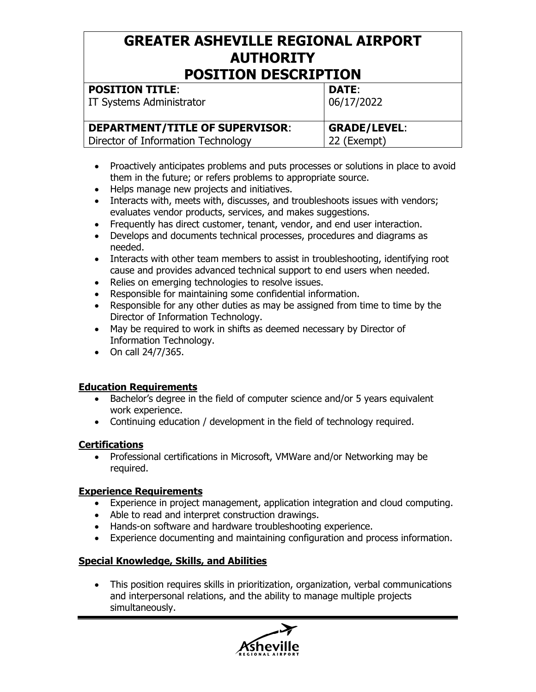# **GREATER ASHEVILLE REGIONAL AIRPORT AUTHORITY**

| <b>POSITION DESCRIPTION</b>            |                     |  |
|----------------------------------------|---------------------|--|
| <b>POSITION TITLE:</b>                 | <b>DATE:</b>        |  |
| IT Systems Administrator               | 06/17/2022          |  |
| <b>DEPARTMENT/TITLE OF SUPERVISOR:</b> | <b>GRADE/LEVEL:</b> |  |
| Director of Information Technology     | 22 (Exempt)         |  |

- Proactively anticipates problems and puts processes or solutions in place to avoid them in the future; or refers problems to appropriate source.
- Helps manage new projects and initiatives.
- Interacts with, meets with, discusses, and troubleshoots issues with vendors; evaluates vendor products, services, and makes suggestions.
- Frequently has direct customer, tenant, vendor, and end user interaction.
- Develops and documents technical processes, procedures and diagrams as needed.
- Interacts with other team members to assist in troubleshooting, identifying root cause and provides advanced technical support to end users when needed.
- Relies on emerging technologies to resolve issues.
- Responsible for maintaining some confidential information.
- Responsible for any other duties as may be assigned from time to time by the Director of Information Technology.
- May be required to work in shifts as deemed necessary by Director of Information Technology.
- On call 24/7/365.

#### **Education Requirements**

- Bachelor's degree in the field of computer science and/or 5 years equivalent work experience.
- Continuing education / development in the field of technology required.

#### **Certifications**

• Professional certifications in Microsoft, VMWare and/or Networking may be required.

#### **Experience Requirements**

- Experience in project management, application integration and cloud computing.
- Able to read and interpret construction drawings.
- Hands-on software and hardware troubleshooting experience.
- Experience documenting and maintaining configuration and process information.

#### **Special Knowledge, Skills, and Abilities**

 This position requires skills in prioritization, organization, verbal communications and interpersonal relations, and the ability to manage multiple projects simultaneously.